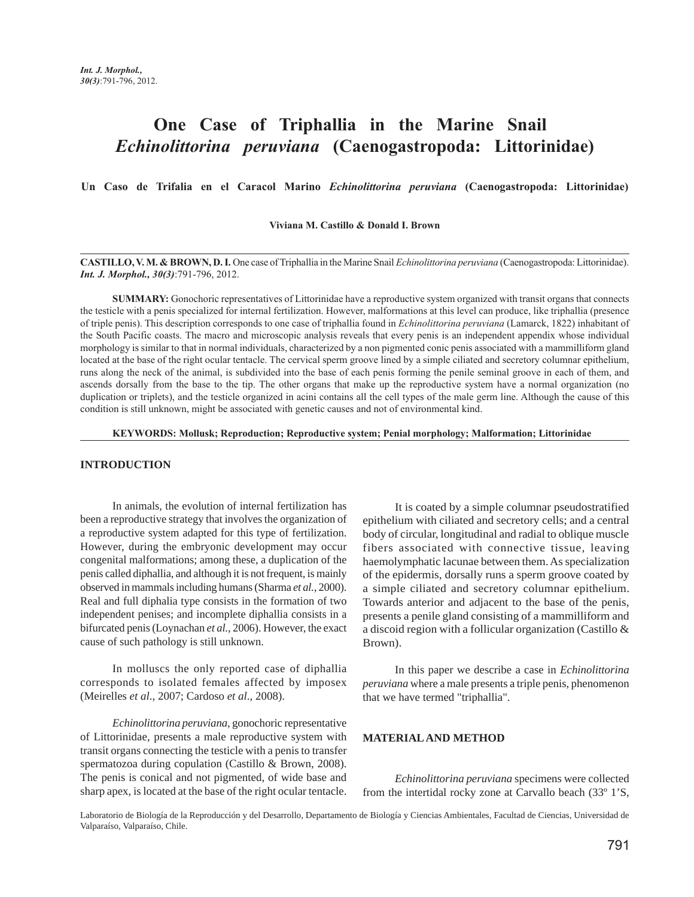# **One Case of Triphallia in the Marine Snail**  *Echinolittorina peruviana* **(Caenogastropoda: Littorinidae)**

**Un Caso de Trifalia en el Caracol Marino** *Echinolittorina peruviana* **(Caenogastropoda: Littorinidae)**

**Viviana M. Castillo & Donald I. Brown**

**CASTILLO, V. M. & BROWN, D. I.** One case of Triphallia in the Marine Snail *Echinolittorina peruviana* (Caenogastropoda: Littorinidae). *Int. J. Morphol., 30(3)*:791-796, 2012.

**SUMMARY:** Gonochoric representatives of Littorinidae have a reproductive system organized with transit organs that connects the testicle with a penis specialized for internal fertilization. However, malformations at this level can produce, like triphallia (presence of triple penis). This description corresponds to one case of triphallia found in *Echinolittorina peruviana* (Lamarck, 1822) inhabitant of the South Pacific coasts. The macro and microscopic analysis reveals that every penis is an independent appendix whose individual morphology is similar to that in normal individuals, characterized by a non pigmented conic penis associated with a mammilliform gland located at the base of the right ocular tentacle. The cervical sperm groove lined by a simple ciliated and secretory columnar epithelium, runs along the neck of the animal, is subdivided into the base of each penis forming the penile seminal groove in each of them, and ascends dorsally from the base to the tip. The other organs that make up the reproductive system have a normal organization (no duplication or triplets), and the testicle organized in acini contains all the cell types of the male germ line. Although the cause of this condition is still unknown, might be associated with genetic causes and not of environmental kind.

#### **KEYWORDS: Mollusk; Reproduction; Reproductive system; Penial morphology; Malformation; Littorinidae**

## **INTRODUCTION**

In animals, the evolution of internal fertilization has been a reproductive strategy that involves the organization of a reproductive system adapted for this type of fertilization. However, during the embryonic development may occur congenital malformations; among these, a duplication of the penis called diphallia, and although it is not frequent, is mainly observed in mammals including humans (Sharma *et al.*, 2000). Real and full diphalia type consists in the formation of two independent penises; and incomplete diphallia consists in a bifurcated penis (Loynachan *et al.,* 2006). However, the exact cause of such pathology is still unknown.

In molluscs the only reported case of diphallia corresponds to isolated females affected by imposex (Meirelles *et al*., 2007; Cardoso *et al*., 2008).

*Echinolittorina peruviana,* gonochoric representative of Littorinidae, presents a male reproductive system with transit organs connecting the testicle with a penis to transfer spermatozoa during copulation (Castillo & Brown, 2008). The penis is conical and not pigmented, of wide base and sharp apex, is located at the base of the right ocular tentacle.

It is coated by a simple columnar pseudostratified epithelium with ciliated and secretory cells; and a central body of circular, longitudinal and radial to oblique muscle fibers associated with connective tissue, leaving haemolymphatic lacunae between them. As specialization of the epidermis, dorsally runs a sperm groove coated by a simple ciliated and secretory columnar epithelium. Towards anterior and adjacent to the base of the penis, presents a penile gland consisting of a mammilliform and a discoid region with a follicular organization (Castillo & Brown).

In this paper we describe a case in *Echinolittorina peruviana* where a male presents a triple penis, phenomenon that we have termed "triphallia".

### **MATERIAL AND METHOD**

*Echinolittorina peruviana* specimens were collected from the intertidal rocky zone at Carvallo beach (33º 1'S,

Laboratorio de Biología de la Reproducción y del Desarrollo, Departamento de Biología y Ciencias Ambientales, Facultad de Ciencias, Universidad de Valparaíso, Valparaíso, Chile.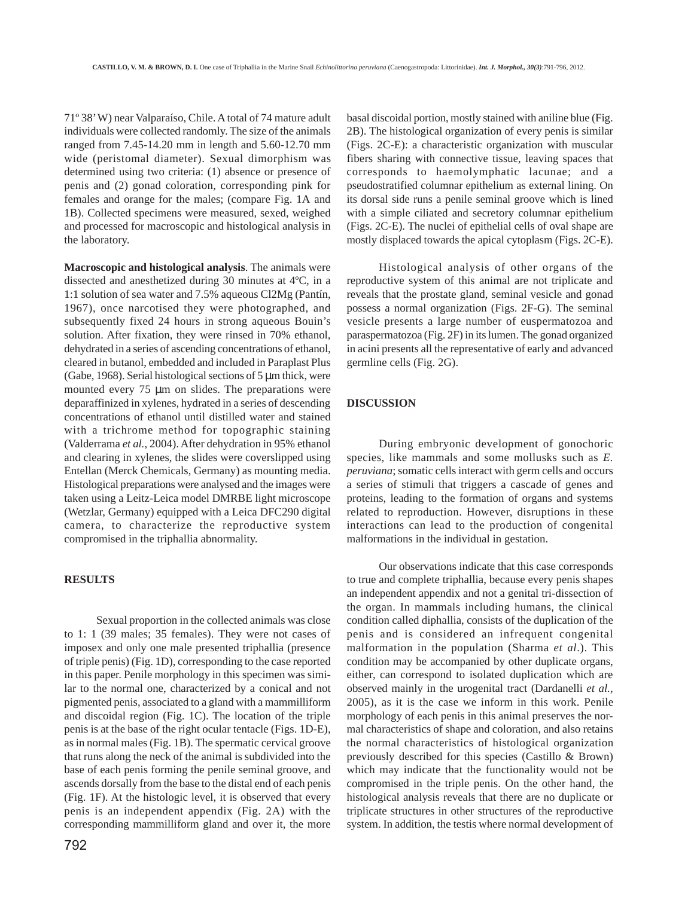71º 38' W) near Valparaíso, Chile. A total of 74 mature adult individuals were collected randomly. The size of the animals ranged from 7.45-14.20 mm in length and 5.60-12.70 mm wide (peristomal diameter). Sexual dimorphism was determined using two criteria: (1) absence or presence of penis and (2) gonad coloration, corresponding pink for females and orange for the males; (compare Fig. 1A and 1B). Collected specimens were measured, sexed, weighed and processed for macroscopic and histological analysis in the laboratory.

**Macroscopic and histological analysis**. The animals were dissected and anesthetized during 30 minutes at 4ºC, in a 1:1 solution of sea water and 7.5% aqueous Cl2Mg (Pantín, 1967), once narcotised they were photographed, and subsequently fixed 24 hours in strong aqueous Bouin's solution. After fixation, they were rinsed in 70% ethanol, dehydrated in a series of ascending concentrations of ethanol, cleared in butanol, embedded and included in Paraplast Plus (Gabe, 1968). Serial histological sections of 5 µm thick, were mounted every 75 µm on slides. The preparations were deparaffinized in xylenes, hydrated in a series of descending concentrations of ethanol until distilled water and stained with a trichrome method for topographic staining (Valderrama *et al.*, 2004). After dehydration in 95% ethanol and clearing in xylenes, the slides were coverslipped using Entellan (Merck Chemicals, Germany) as mounting media. Histological preparations were analysed and the images were taken using a Leitz-Leica model DMRBE light microscope (Wetzlar, Germany) equipped with a Leica DFC290 digital camera, to characterize the reproductive system compromised in the triphallia abnormality.

# **RESULTS**

Sexual proportion in the collected animals was close to 1: 1 (39 males; 35 females). They were not cases of imposex and only one male presented triphallia (presence of triple penis) (Fig. 1D), corresponding to the case reported in this paper. Penile morphology in this specimen was similar to the normal one, characterized by a conical and not pigmented penis, associated to a gland with a mammilliform and discoidal region (Fig. 1C). The location of the triple penis is at the base of the right ocular tentacle (Figs. 1D-E), as in normal males (Fig. 1B). The spermatic cervical groove that runs along the neck of the animal is subdivided into the base of each penis forming the penile seminal groove, and ascends dorsally from the base to the distal end of each penis (Fig. 1F). At the histologic level, it is observed that every penis is an independent appendix (Fig. 2A) with the corresponding mammilliform gland and over it, the more

basal discoidal portion, mostly stained with aniline blue (Fig. 2B). The histological organization of every penis is similar (Figs. 2C-E): a characteristic organization with muscular fibers sharing with connective tissue, leaving spaces that corresponds to haemolymphatic lacunae; and a pseudostratified columnar epithelium as external lining. On its dorsal side runs a penile seminal groove which is lined with a simple ciliated and secretory columnar epithelium (Figs. 2C-E). The nuclei of epithelial cells of oval shape are mostly displaced towards the apical cytoplasm (Figs. 2C-E).

Histological analysis of other organs of the reproductive system of this animal are not triplicate and reveals that the prostate gland, seminal vesicle and gonad possess a normal organization (Figs. 2F-G). The seminal vesicle presents a large number of euspermatozoa and paraspermatozoa (Fig. 2F) in its lumen. The gonad organized in acini presents all the representative of early and advanced germline cells (Fig. 2G).

## **DISCUSSION**

During embryonic development of gonochoric species, like mammals and some mollusks such as *E. peruviana*; somatic cells interact with germ cells and occurs a series of stimuli that triggers a cascade of genes and proteins, leading to the formation of organs and systems related to reproduction. However, disruptions in these interactions can lead to the production of congenital malformations in the individual in gestation.

Our observations indicate that this case corresponds to true and complete triphallia, because every penis shapes an independent appendix and not a genital tri-dissection of the organ. In mammals including humans, the clinical condition called diphallia, consists of the duplication of the penis and is considered an infrequent congenital malformation in the population (Sharma *et al*.). This condition may be accompanied by other duplicate organs, either, can correspond to isolated duplication which are observed mainly in the urogenital tract (Dardanelli *et al.,* 2005), as it is the case we inform in this work. Penile morphology of each penis in this animal preserves the normal characteristics of shape and coloration, and also retains the normal characteristics of histological organization previously described for this species (Castillo & Brown) which may indicate that the functionality would not be compromised in the triple penis. On the other hand, the histological analysis reveals that there are no duplicate or triplicate structures in other structures of the reproductive system. In addition, the testis where normal development of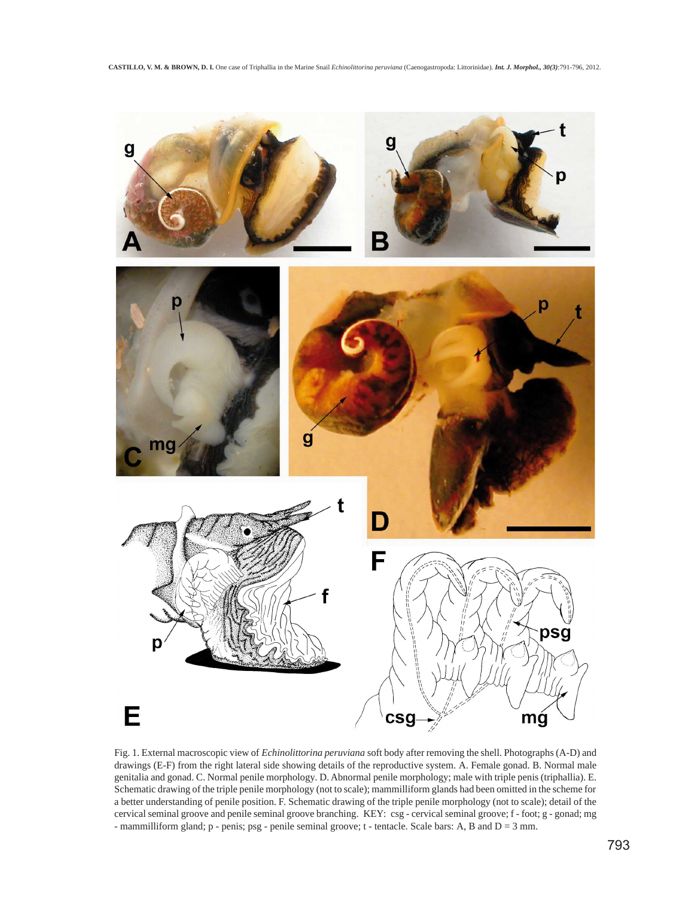

Fig. 1. External macroscopic view of *Echinolittorina peruviana* soft body after removing the shell. Photographs (A-D) and drawings (E-F) from the right lateral side showing details of the reproductive system. A. Female gonad. B. Normal male genitalia and gonad. C. Normal penile morphology. D. Abnormal penile morphology; male with triple penis (triphallia). E. Schematic drawing of the triple penile morphology (not to scale); mammilliform glands had been omitted in the scheme for a better understanding of penile position. F. Schematic drawing of the triple penile morphology (not to scale); detail of the cervical seminal groove and penile seminal groove branching. KEY: csg - cervical seminal groove; f - foot; g - gonad; mg - mammilliform gland; p - penis; psg - penile seminal groove; t - tentacle. Scale bars: A, B and D = 3 mm.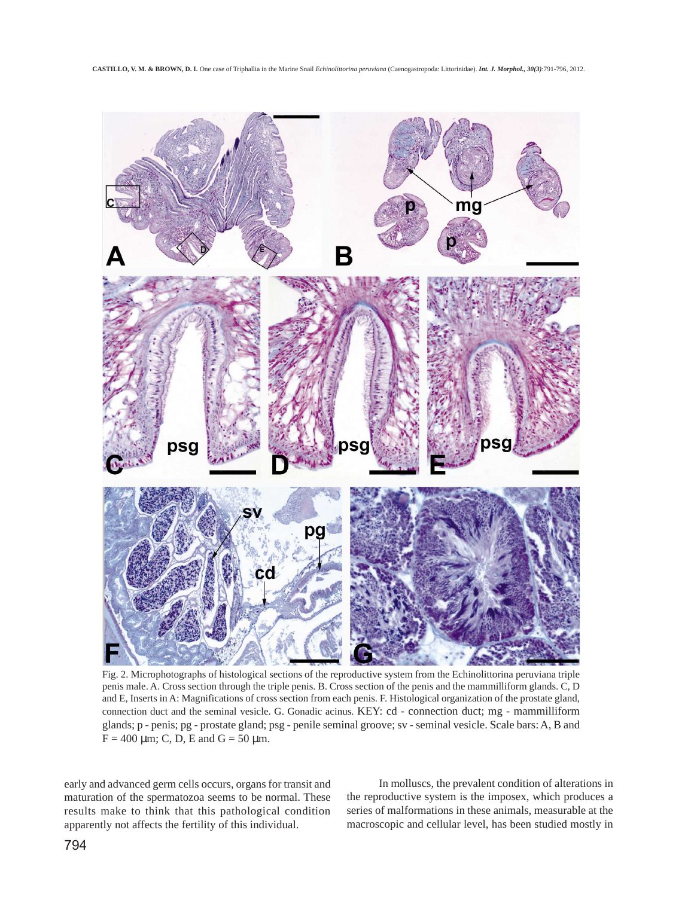

Fig. 2. Microphotographs of histological sections of the reproductive system from the Echinolittorina peruviana triple penis male. A. Cross section through the triple penis. B. Cross section of the penis and the mammilliform glands. C, D and E, Inserts in A: Magnifications of cross section from each penis. F. Histological organization of the prostate gland, connection duct and the seminal vesicle. G. Gonadic acinus. KEY: cd - connection duct; mg - mammilliform glands; p - penis; pg - prostate gland; psg - penile seminal groove; sv - seminal vesicle. Scale bars: A, B and  $F = 400 \mu m$ ; C, D, E and G = 50  $\mu$ m.

early and advanced germ cells occurs, organs for transit and maturation of the spermatozoa seems to be normal. These results make to think that this pathological condition apparently not affects the fertility of this individual.

In molluscs, the prevalent condition of alterations in the reproductive system is the imposex, which produces a series of malformations in these animals, measurable at the macroscopic and cellular level, has been studied mostly in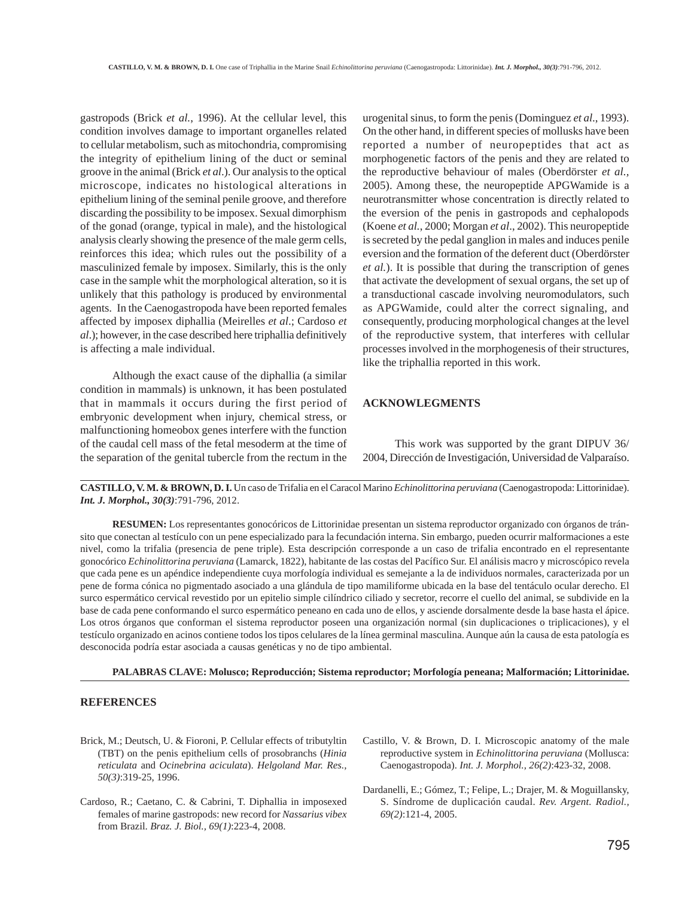gastropods (Brick *et al.*, 1996). At the cellular level, this condition involves damage to important organelles related to cellular metabolism, such as mitochondria, compromising the integrity of epithelium lining of the duct or seminal groove in the animal (Brick *et al*.). Our analysis to the optical microscope, indicates no histological alterations in epithelium lining of the seminal penile groove, and therefore discarding the possibility to be imposex. Sexual dimorphism of the gonad (orange, typical in male), and the histological analysis clearly showing the presence of the male germ cells, reinforces this idea; which rules out the possibility of a masculinized female by imposex. Similarly, this is the only case in the sample whit the morphological alteration, so it is unlikely that this pathology is produced by environmental agents. In the Caenogastropoda have been reported females affected by imposex diphallia (Meirelles *et al*.; Cardoso *et al*.); however, in the case described here triphallia definitively is affecting a male individual.

Although the exact cause of the diphallia (a similar condition in mammals) is unknown, it has been postulated that in mammals it occurs during the first period of embryonic development when injury, chemical stress, or malfunctioning homeobox genes interfere with the function of the caudal cell mass of the fetal mesoderm at the time of the separation of the genital tubercle from the rectum in the

urogenital sinus, to form the penis (Dominguez *et al*., 1993). On the other hand, in different species of mollusks have been reported a number of neuropeptides that act as morphogenetic factors of the penis and they are related to the reproductive behaviour of males (Oberdörster *et al.,* 2005). Among these, the neuropeptide APGWamide is a neurotransmitter whose concentration is directly related to the eversion of the penis in gastropods and cephalopods (Koene *et al.*, 2000; Morgan *et al*., 2002). This neuropeptide is secreted by the pedal ganglion in males and induces penile eversion and the formation of the deferent duct (Oberdörster *et al.*). It is possible that during the transcription of genes that activate the development of sexual organs, the set up of a transductional cascade involving neuromodulators, such as APGWamide, could alter the correct signaling, and consequently, producing morphological changes at the level of the reproductive system, that interferes with cellular processes involved in the morphogenesis of their structures, like the triphallia reported in this work.

# **ACKNOWLEGMENTS**

This work was supported by the grant DIPUV 36/ 2004, Dirección de Investigación, Universidad de Valparaíso.

**CASTILLO, V. M. & BROWN, D. I.** Un caso de Trifalia en el Caracol Marino *Echinolittorina peruviana* (Caenogastropoda: Littorinidae). *Int. J. Morphol., 30(3)*:791-796, 2012.

**RESUMEN:** Los representantes gonocóricos de Littorinidae presentan un sistema reproductor organizado con órganos de tránsito que conectan al testículo con un pene especializado para la fecundación interna. Sin embargo, pueden ocurrir malformaciones a este nivel, como la trifalia (presencia de pene triple). Esta descripción corresponde a un caso de trifalia encontrado en el representante gonocórico *Echinolittorina peruviana* (Lamarck, 1822), habitante de las costas del Pacífico Sur. El análisis macro y microscópico revela que cada pene es un apéndice independiente cuya morfología individual es semejante a la de individuos normales, caracterizada por un pene de forma cónica no pigmentado asociado a una glándula de tipo mamiliforme ubicada en la base del tentáculo ocular derecho. El surco espermático cervical revestido por un epitelio simple cilíndrico ciliado y secretor, recorre el cuello del animal, se subdivide en la base de cada pene conformando el surco espermático peneano en cada uno de ellos, y asciende dorsalmente desde la base hasta el ápice. Los otros órganos que conforman el sistema reproductor poseen una organización normal (sin duplicaciones o triplicaciones), y el testículo organizado en acinos contiene todos los tipos celulares de la línea germinal masculina. Aunque aún la causa de esta patología es desconocida podría estar asociada a causas genéticas y no de tipo ambiental.

**PALABRAS CLAVE: Molusco; Reproducción; Sistema reproductor; Morfología peneana; Malformación; Littorinidae.**

#### **REFERENCES**

- Brick, M.; Deutsch, U. & Fioroni, P. Cellular effects of tributyltin (TBT) on the penis epithelium cells of prosobranchs (*Hinia reticulata* and *Ocinebrina aciculata*). *Helgoland Mar. Res., 50(3)*:319-25, 1996.
- Cardoso, R.; Caetano, C. & Cabrini, T. Diphallia in imposexed females of marine gastropods: new record for *Nassarius vibex* from Brazil. *Braz. J. Biol., 69(1)*:223-4, 2008.
- Castillo, V. & Brown, D. I. Microscopic anatomy of the male reproductive system in *Echinolittorina peruviana* (Mollusca: Caenogastropoda). *Int. J. Morphol., 26(2)*:423-32, 2008.
- Dardanelli, E.; Gómez, T.; Felipe, L.; Drajer, M. & Moguillansky, S. Síndrome de duplicación caudal. *Rev. Argent. Radiol., 69(2)*:121-4, 2005.